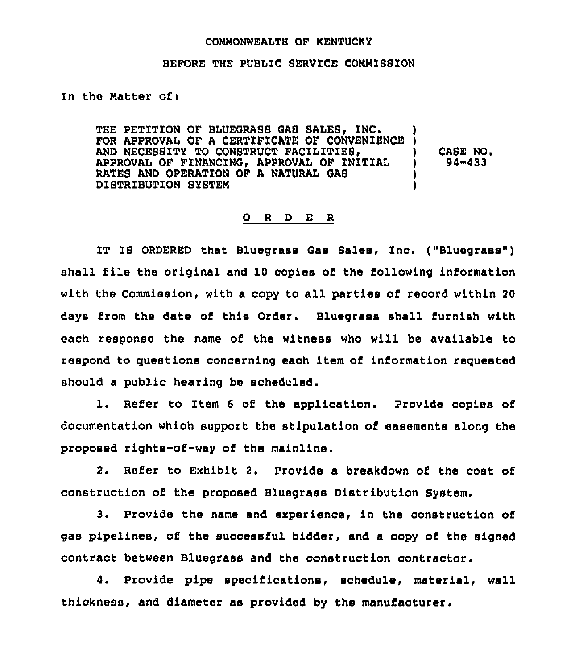#### COMMONWEALTH OF KENTUCKY

#### BEFORE THE PUBLIC SERVICE COMMISSION

In the Matter of:

THE PETITION OF BLUEGRASS GAS SALES, INC.<br>FOR APPROVAL OF A CERTIFICATE OF CONVENIENCE<br>AND NECESSITY TO CONSTRUCT FACILITIES,<br>APPROVAL OF FINANCING, APPROVAL OF INITIAL<br>RATES AND OPERATION OF A NATURAL GAS<br>DISTRIBUTION SYS CASE NO, 94-433

#### 0 R D E R

IT IS ORDERED that Bluegraaa Gas Sales, Inc. ("Bluegrass") shall file the original and 10 copies of the following information with the Commission, with a copy to all parties of record within 20 days from the date of this Order. Bluegrass shall furnish with each response the name of the witness who will be available to respond to questions concerning each item of information requested should a public hearing be scheduled.

l, Refer to Item 6 of the application, Provide copies of documentation which support the stipulation of easements along the proposed rights-of-way of the mainline.

2. Refer to Exhibit 2, Provide a breakdown of the cost of construction of the proposed Bluegrass Distribution System.

3, Provide the name and experience, in the construction or gas pipelines, of the successful bidder, and a copy of the signed contract between Bluegrass and the construction contractor.

4. Provide pipe specifications, schedule, material, wall thickness, and diameter as provided by the manufacturer.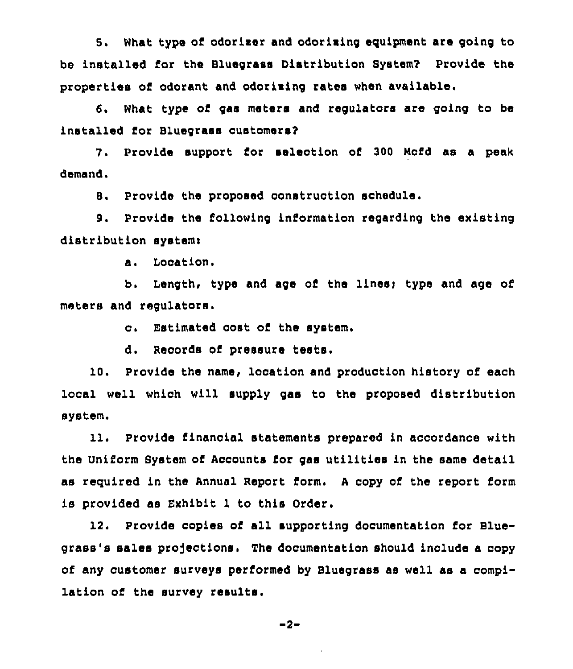5. What type of odorizer and odorizing equipment are going to be installed ror the BlueQraas Diatribution System? Provide the propertiea or odorant and odoriaing rates when available,

*6.* What type or Q&S meters and regulators are going to be installed for Bluegrass customers?

7. Provide support for selection of 300 Mcfd as a peak demand.

B. Provide the proposed construction schedule.

9. Provide the following information regarding the existing distribution system:

a. Location.

b. Length, type and age of the lines; type and age of meters and regulators.

c. Estimated cost of the system.

d, Recorda or pressure testa,

10, Provide the name, location and production history of each local well which will aupply gaa to the proposed distribution system.

11. Provide financial statements prepared in accordance with the Uniform System of Accounts for gas utilities in the same detail as required in the Annual Report form. A copy of the report form is provided as Exhibit l to this Order.

12. Provide copies or all supporting documentation for Bluegrass's salaa projectiona, The documentation should include a copy of any customer surveys parrormad by Bluegrass aa wall as a compilation of the survey reaulta.

-2-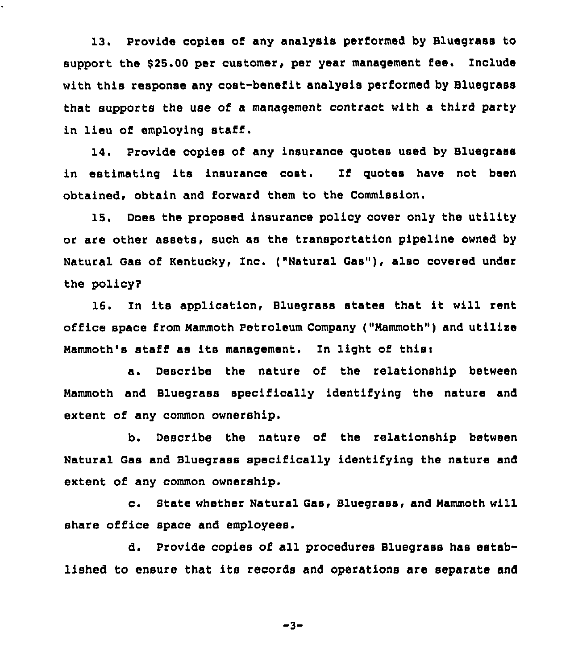13. Provide copies of any analysis performed by Bluegrass to support the \$25,00 per customer, per year management fee, Include with this response any cost-benefit analysis performed by Bluegrass that supports the use of a management contract with a third party in lieu of employing staff,

14. Provide copies of any insurance quotes used by Bluegrass in estimating its insurance coat. If quotes have not been obtained, obtain and forward them to the Commission.

15. Does the proposed insurance policy cover only the utility or are other assets, such as the transportation pipeline owned by Natural Gas of Kentucky, Inc, ("Natural Gas"), also covered under the policy?

16. In its application, Bluegrass states that it will rent office space from Mammoth Petroleum Company ("Mammoth") and utilize Mammoth's staff as its management. In light of this:

a. Describe the nature of the relationship between Mammoth and Bluegrass specifically identifying the nature and extent of any common ownership.

b. Describe the nature of the relationship between Natural Gas and Bluegrass specifically identifying the nature and extent of any common ownership.

c. State whether Natural Gas, Bluegrass, and Mammoth will share office space and employees.

d. Provide copies of all procedures Bluegrass has established to ensure that its records and operations are separate and

-3-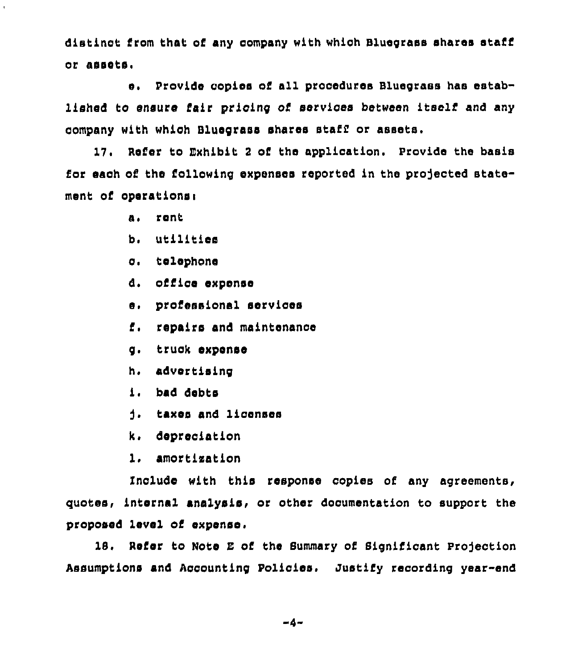distinct from that of any company with which Bluegrass shares staff or assots.

e. Provide conies of all procedures Bluegrass has established to ensure fair pricing of services between itself and any company with which Bluecrass shares staff or assets.

17. Refer to Exhibit 2 of the application. Provide the basis for each of the following expenses reported in the projected statement of operations:

- a. rent
- b. utilities
- c. telephone
- d. office expense
- e. professional services
- f. repairs and maintenance
- g. truck expense
- h. advertising
- i. bad debts
- j. taxes and licenses
- k. depreciation
- 1. amortization

Include with this response copies of any agreements, quotes, internal analysis, or other documentation to support the proposed level of expense.

18. Refer to Note E of the Summary of Significant Projection Assumptions and Accounting Policies. Justify recording year-end

 $-4-$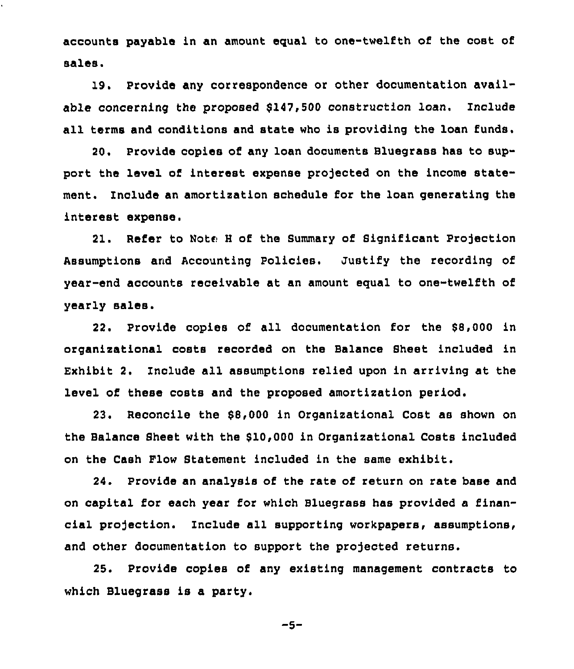accounts payable in an amount equal to one-twelfth of the cost of sales.

19. Provide any correspondence or other documentation available concerning the proposed \$147,500 construction loan. Include all terms and conditions and state who is providing the loan funds.

20. Provide copies of any loan documents Bluegrass has to support the level of interest expense projected on the income statement. Include an amortization schedule for the loan generating the interest expense.

21. Refer to Note H of the Summary of Significant Projection Assumptions and Accounting Policies. Justify the recording of year-end accounts receivable at an amount equal to one-twelfth of yearly sales.

22. Provide copies of all documentation for the \$8,000 in organizational costs recorded on the Balance Sheet included in Exhibit 2. Include all assumptions relied upon in arriving at the level of these costs and the proposed amortization period.

23. Reconcile the \$8,000 in Organizational Cost as shown on the Balance Sheet with the \$10,000 in Organizational Costs included on the Cash Flow Statement included in the same exhibit.

24. Provide an analysis of the rate of return on rate base and on capital for each year for which Bluegrass has provided a financial projection. Include all supporting workpapers, assumptions, and other documentation to support the projected returns.

25, Provide copies of any existing management contracts to which Bluegrass is a party.

-s-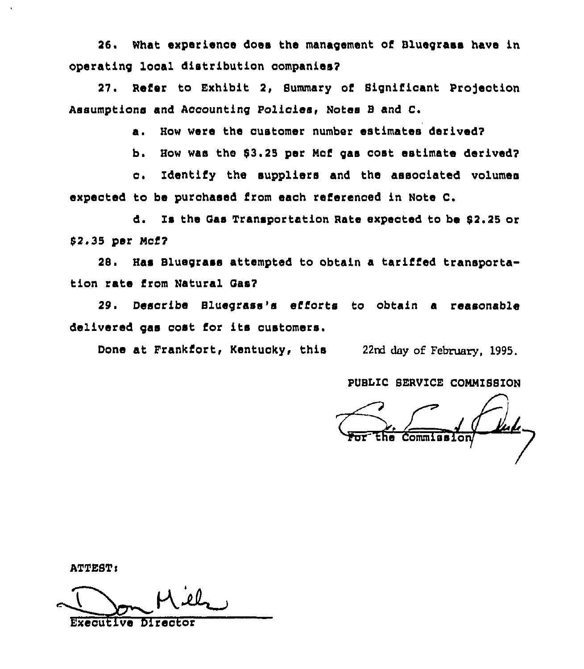26. What experience does the management of Bluegrass have in operating local distribution companies?

27. Refer to Exhibit 2, Summary of Significant Projection Assumptions and Accounting Policies, Notes B and C.

a. How were the customer number estimates derived?

b. How was the \$3.25 per Mof gas cost estimate derived?

c. Identify the suppliers and the associated volumes expected to be purchased from each referenced in Note C.

Is the Gas Transportation Rate expected to be \$2.25 or đ. \$2.35 per Mcf7

28. Has Bluegrass attempted to obtain a tariffed transportation rate from Natural Gas?

29. Describe Bluegrass's efforts to obtain a reasonable delivered gas cost for its customers.

Done at Frankfort, Kentucky, this 22nd day of February, 1995.

PUBLIC SERVICE COMMISSION

<u>fuli</u>

ATTEST:

**Executive Director**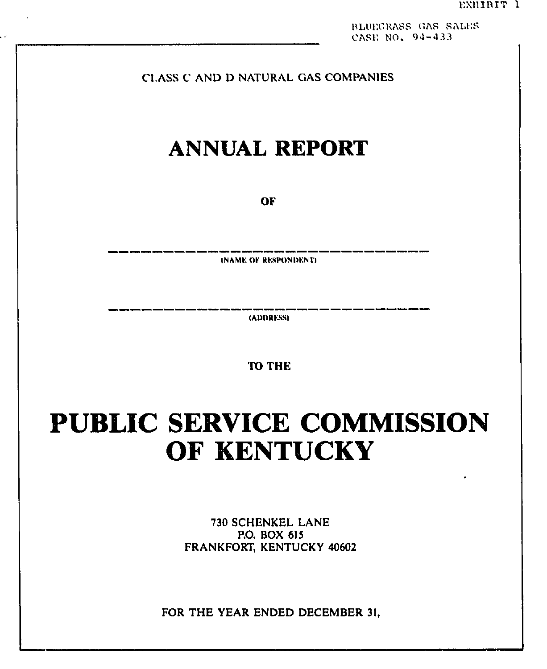BLUEGRASS GAS SALES CASE NO. 94-433

## CLASS C AND D NATURAL GAS COMPANIES

## **ANNUAL REPORT**

OF

**INAME OF RESPONDENTI** 

(ADDRESS)

**TO THE** 

# **PUBLIC SERVICE COMMISSION** OF KENTUCKY

730 SCHENKEL LANE P.O. BOX 615 FRANKFORT, KENTUCKY 40602

FOR THE YEAR ENDED DECEMBER 31.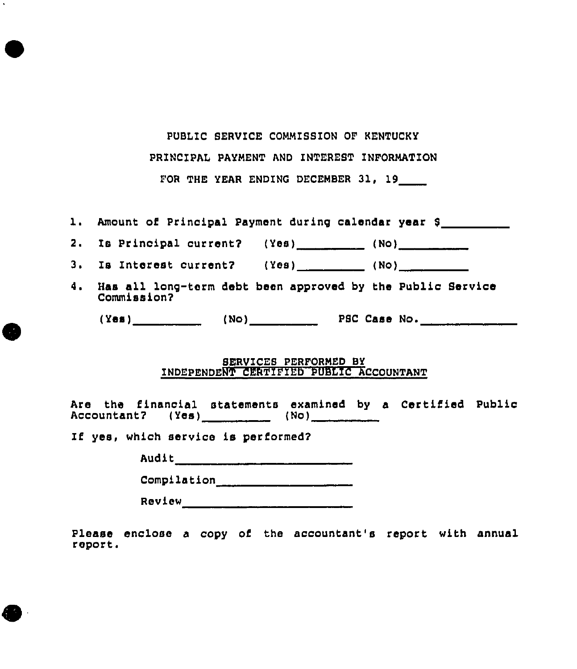PUBLIC SERVICE COMMISSION OF KENTUCKY

PRINCIPAL PAYMENT AND INTEREST INFORMATION

FOR THE YEAR ENDING DECEMBER 31, 19

1. Amount of Principal Payment during calendar year \$<br>2. Is Principal current? (Yes) \_\_\_\_\_\_\_\_\_\_ (No) \_\_\_\_\_\_\_\_\_\_\_

|  |  | 2. Is Principal current? (Yes) |  |  | (No) |  |
|--|--|--------------------------------|--|--|------|--|
|--|--|--------------------------------|--|--|------|--|

3. Is Interest current? (Yes) \_\_\_\_\_\_ (No) \_\_\_\_\_\_

4. Haa all lon9-torm debt bean approved by the Public Service Commission?

 $(Yes)$   $(Yes)$   $(No)$   $PSC Case No$ .

#### SERVICES PERFORMED BY INDEPENDENT CERTIFIED PUBLIC ACCOUNTANT

Are the financial statements examined by a Certified Public Accountant? (Yes)  $(0.10)$   $(0.00)$   $(0.00)$   $(0.00)$   $(0.00)$   $(0.00)$   $(0.00)$   $(0.00)$   $(0.00)$   $(0.00)$   $(0.00)$   $(0.00)$   $(0.00)$   $(0.00)$   $(0.00)$   $(0.00)$   $(0.00)$   $(0.00)$   $(0.00)$   $(0.00)$   $(0.00)$   $(0.00)$   $(0.0$ 

If yes, which service is performed?

•

**•** 

**•** 

Audit \_\_\_\_\_\_\_\_\_\_ \_

Compilation \_\_\_\_\_\_\_\_\_\_\_\_\_\_\_\_\_\_ \_\_

Review \_\_\_\_\_\_\_\_\_\_\_\_\_\_\_\_\_\_\_\_\_\_\_\_ \_

Please enclose a copy of the accountant's report with annual report •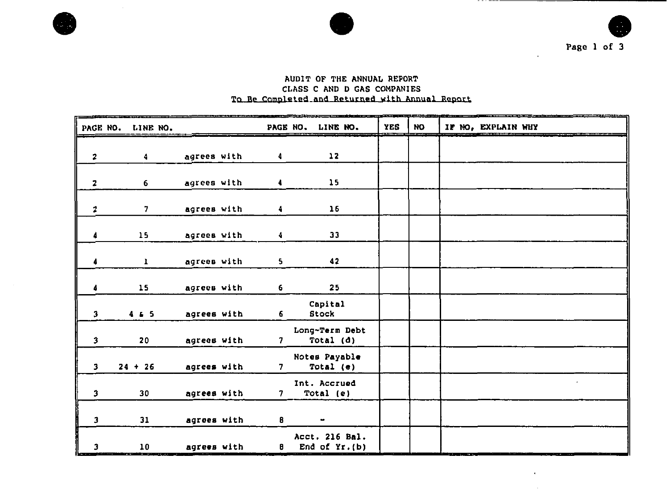





#### AUDIT OF THE ANNUAL REPORT CLASS *C* AND D GAS COMPANIES To Be Completed and Returned with Annual Report

| PAGE NO.                | LINE NO.     |             |                | PAGE NO. LINE NO. |                                   | <b>YES</b> | <b>NO</b> | IF NO, EXPLAIN WHY |
|-------------------------|--------------|-------------|----------------|-------------------|-----------------------------------|------------|-----------|--------------------|
| $\overline{\mathbf{z}}$ | 4.           | agrees with | 4              |                   | 12                                |            |           |                    |
| 2                       | 6            | agrees with | 4              |                   | 15 <sub>15</sub>                  |            |           |                    |
| $\boldsymbol{z}$        | 7.           | agrees with | 4              |                   | 16                                |            |           |                    |
| 4                       | 15           | agrees with | 4              |                   | 33                                |            |           |                    |
| 4                       | $\mathbf{1}$ | agrees with | 5              |                   | 42                                |            |           |                    |
| 4                       | 15           | agrees with | 6              |                   | 25                                |            |           |                    |
| $\mathbf{3}$            | 4.4.5        | agrees with | 6              | Capital<br>Stock  |                                   |            |           |                    |
| $\overline{\mathbf{3}}$ | 20           | agrees with | 7 <sup>7</sup> |                   | Long-Term Debt<br>Total (d)       |            |           |                    |
| $\overline{\mathbf{3}}$ | $24 + 26$    | agrees with | 7 <sup>7</sup> | Notes Payable     | Total $(e)$                       |            |           |                    |
| $\overline{\mathbf{3}}$ | 30           | agrees with | 7 <sup>7</sup> | Int. Accrued      | Total (e)                         |            |           |                    |
| $\mathbf{3}$            | 31           | agrees with | 8              |                   |                                   |            |           |                    |
| J                       | 10           | agrees with | 8              |                   | Acct. 216 Bal.<br>End of $Yr.(b)$ |            |           |                    |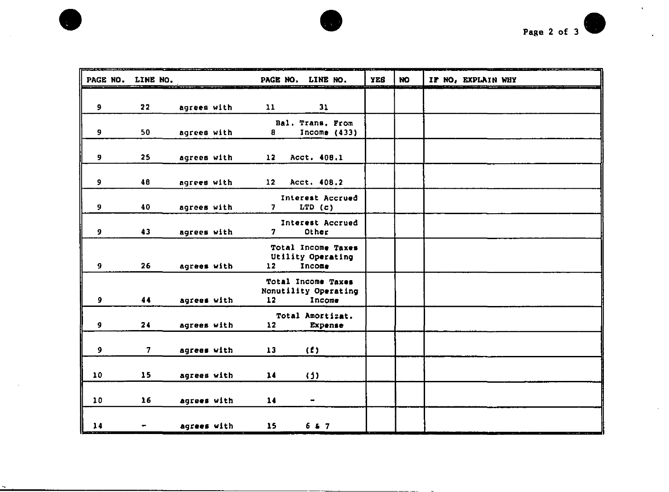



|             | PAGE NO. LINE NO. |             | PAGE NO.        | LINE NO.                                             | <b>YES</b> | <b>NO</b> | IF NO, EXPLAIN WHY |
|-------------|-------------------|-------------|-----------------|------------------------------------------------------|------------|-----------|--------------------|
| 9           | 22                | agrees with | 11              | 31                                                   |            |           |                    |
|             |                   |             |                 |                                                      |            |           |                    |
| 9           | 50                | agrees with | 8               | Bal. Trans. From<br>Income $(433)$                   |            |           |                    |
| 9           | 25                | agrees with | 12 <sup>7</sup> | Acct. 408.1                                          |            |           |                    |
| 9           | 48                | agrees with | 12 <sup>2</sup> | Acct. 408.2                                          |            |           |                    |
| 9           | 40                | agrees with | 7.              | Interest Accrued<br>LTD(G)                           |            |           |                    |
| 9           | 43                | agrees with | 7               | Interest Accrued<br>Other                            |            |           |                    |
| 9           | 26                | agrees with | 12              | Total Income Taxes<br>Utility Operating<br>Income    |            |           |                    |
| 9           | 44                | agrees with | 12              | Total Income Taxes<br>Nonutility Operating<br>Income |            |           |                    |
| 9           | 24                | agrees with | 12              | Total Amortizat.<br>Expense                          |            |           |                    |
| 9           | 7                 | agrees with | 13              | (1)                                                  |            |           |                    |
| 10          | 15                | agrees with | 14              | (3)                                                  |            |           |                    |
| 10          | 16                | agrees with | 14              | $\blacksquare$                                       |            |           |                    |
| 14<br>----- |                   | agrees with | 15              | 6.4.7                                                |            |           |                    |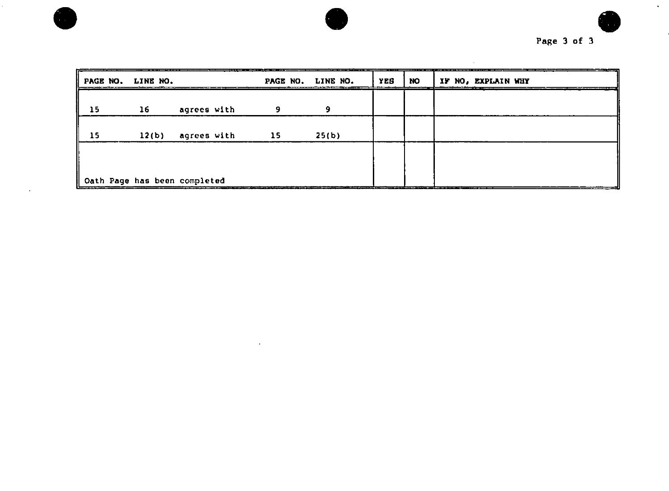

 $\mathcal{L}^{\pm}$ 

| PAGE NO. LINE NO. |       |                              |                 | PAGE NO. LINE NO. | YES | <b>NO</b> | IF NO, EXPLAIN WHY |
|-------------------|-------|------------------------------|-----------------|-------------------|-----|-----------|--------------------|
| 15                | - 16  | agrees with                  |                 | 9                 |     |           |                    |
| 15                | 12(b) | agrees with                  | $\overline{15}$ | 25(b)             |     |           |                    |
|                   |       |                              |                 |                   |     |           |                    |
|                   |       | Oath Page has been completed |                 |                   |     |           | _______________    |

 $\bullet$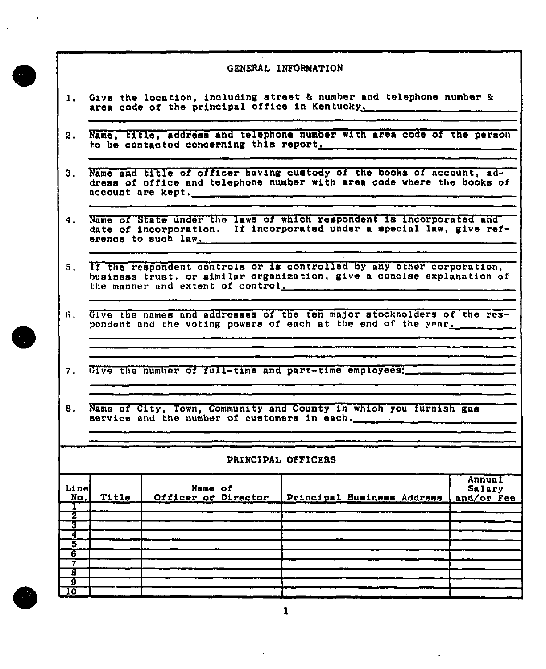- <span id="page-11-0"></span>1. Give the location, including street & number and telephone number & area code of the principal office in Kentucky.
- 2. Name, title, address and telephone number with area code of the person to be contacted concerning this report.
- 3, Name and title of officer having cuatody of the books of account, **ad**dress of office and telephone number with area code where the books of account are kept,
- 4, Name of **State under the** laws of which respondent 1a incorporated and date of incorporation. If incorporated under **a** apecial law, sive reference to such law.
- 5. If the respondent controls or is controlled by any other corporation, business trust. or similnr organization. give a concise explanation of the manner und extent of control.
- ti. Give the names and addresses of the ten major stockholders of the **res**pondent and the voting powers of each at the end of the year.
- 7. Give the number of full-time and part-time employees:
- 8. Name of City, Town, Community and County in which you furnish gas service and the number of customers in each.

#### PRINCIPAL OFFICERS

| Line<br>No. | Title | Name of<br>Officer or Director | Principal Business Address | Annua <sub>1</sub><br>Salary<br>and/or Fee |
|-------------|-------|--------------------------------|----------------------------|--------------------------------------------|
|             |       |                                |                            |                                            |
|             |       |                                |                            |                                            |
|             |       |                                |                            |                                            |
|             |       |                                |                            |                                            |
| - 10        |       |                                |                            |                                            |



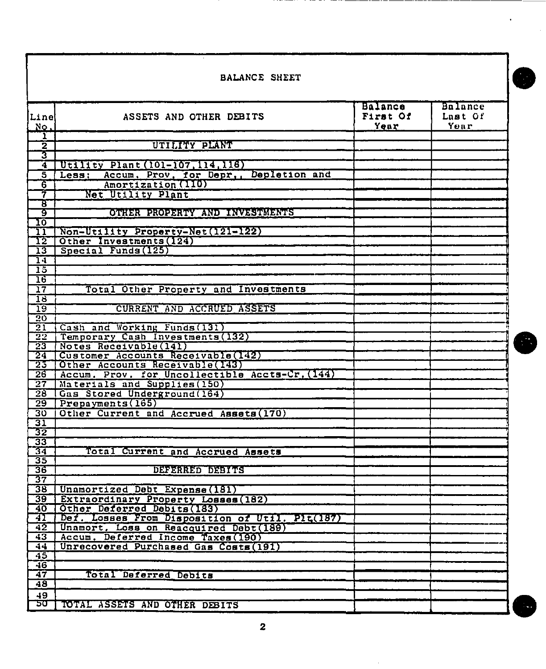|                                    | <b>BALANCE SHEET</b>                                                           |                                           |                                   |  |  |  |  |  |  |
|------------------------------------|--------------------------------------------------------------------------------|-------------------------------------------|-----------------------------------|--|--|--|--|--|--|
|                                    |                                                                                |                                           |                                   |  |  |  |  |  |  |
| Line<br><u>No.</u>                 | ASSETS AND OTHER DEBITS                                                        | <b>Balance</b><br>First Of<br><u>Year</u> | <b>Balance</b><br>Last Of<br>Year |  |  |  |  |  |  |
| ı<br>$\overline{\mathbf{z}}$       | UTILITY PLANT                                                                  |                                           |                                   |  |  |  |  |  |  |
| उ                                  |                                                                                |                                           |                                   |  |  |  |  |  |  |
| $\overline{\mathbf{4}}$            | Utility Plant (101-107, 114, 116)                                              |                                           |                                   |  |  |  |  |  |  |
| 5                                  | Accum, Prov, for Depr,, Depletion and<br>Less:                                 |                                           |                                   |  |  |  |  |  |  |
| 6                                  | Amortization (110)                                                             |                                           |                                   |  |  |  |  |  |  |
| 7                                  | Net Utility Plant                                                              |                                           |                                   |  |  |  |  |  |  |
| ਤ                                  |                                                                                |                                           |                                   |  |  |  |  |  |  |
| ढ़<br>᠋ᡉ                           | OTHER PROPERTY AND INVESTMENTS                                                 |                                           |                                   |  |  |  |  |  |  |
| 11                                 | Non-Utility Property-Net(121-122)                                              |                                           |                                   |  |  |  |  |  |  |
| 12                                 | Other Investments (124)                                                        |                                           |                                   |  |  |  |  |  |  |
| $\overline{13}$                    | Special Funds (125)                                                            |                                           |                                   |  |  |  |  |  |  |
| -14                                |                                                                                |                                           |                                   |  |  |  |  |  |  |
| $\overline{15}$                    |                                                                                |                                           |                                   |  |  |  |  |  |  |
| $\overline{16}$                    |                                                                                |                                           |                                   |  |  |  |  |  |  |
| $\overline{17}$                    | Total Other Property and Investments                                           |                                           |                                   |  |  |  |  |  |  |
| 18<br>$\overline{19}$              | CURRENT AND ACCRUED ASSETS                                                     |                                           |                                   |  |  |  |  |  |  |
| $\overline{20}$                    |                                                                                |                                           |                                   |  |  |  |  |  |  |
| $\overline{21}$                    | Cash and Working Funds (131)                                                   |                                           |                                   |  |  |  |  |  |  |
| $\overline{22}$                    | Temporary Cash Investments (132)                                               |                                           |                                   |  |  |  |  |  |  |
| $\overline{23}$                    | Notes Receivable(141)                                                          |                                           |                                   |  |  |  |  |  |  |
| 24                                 | Customer Accounts Receivable (142)                                             |                                           |                                   |  |  |  |  |  |  |
| 25                                 | Other Accounts Receivable(143)                                                 |                                           |                                   |  |  |  |  |  |  |
| $\overline{26}$<br>$\overline{27}$ | Accum. Prov. for Uncollectible Accts-Cr. (144)<br>Materials and Supplies (150) |                                           |                                   |  |  |  |  |  |  |
| $\overline{28}$                    | Gas Stored Underground (164)                                                   |                                           |                                   |  |  |  |  |  |  |
| -29                                | Prepayments (165)                                                              |                                           |                                   |  |  |  |  |  |  |
| 30                                 | Other Current and Accrued Assets (170)                                         |                                           |                                   |  |  |  |  |  |  |
| 31                                 |                                                                                |                                           |                                   |  |  |  |  |  |  |
| 32                                 |                                                                                |                                           |                                   |  |  |  |  |  |  |
| 33                                 |                                                                                |                                           |                                   |  |  |  |  |  |  |
| $\overline{34}$<br>35              | Total Current and Accrued Assets                                               |                                           |                                   |  |  |  |  |  |  |
| 36                                 | DEESTRED DEFICIE                                                               |                                           |                                   |  |  |  |  |  |  |
| 37                                 |                                                                                |                                           |                                   |  |  |  |  |  |  |
| г<br>38                            | Unamortized Debt Expense (181)                                                 |                                           |                                   |  |  |  |  |  |  |
| 39                                 | Extraordinary Property Losses (182)                                            |                                           |                                   |  |  |  |  |  |  |
| 40                                 | Other Deferred Debits (183)                                                    |                                           |                                   |  |  |  |  |  |  |
| 41                                 | Def. Losses From Disposition of Util. Pit(187)                                 |                                           |                                   |  |  |  |  |  |  |
| $\overline{42}$                    | Unamort. Loss on Reacquired Debt(189)                                          |                                           |                                   |  |  |  |  |  |  |
| $\overline{43}$<br>$\overline{44}$ | Accum, Deferred Income Taxes (190)<br>Unrecovered Purchased Gas Costs (191)    |                                           |                                   |  |  |  |  |  |  |
| $\overline{45}$                    |                                                                                |                                           |                                   |  |  |  |  |  |  |
| $\overline{46}$                    |                                                                                |                                           |                                   |  |  |  |  |  |  |
| 47                                 | Total Deferred Debits                                                          |                                           |                                   |  |  |  |  |  |  |
| 48                                 |                                                                                |                                           |                                   |  |  |  |  |  |  |
| 49                                 |                                                                                |                                           |                                   |  |  |  |  |  |  |
| ᠊᠋ᢐᠣ                               | TOTAL ASSETS AND OTHER DEBITS                                                  |                                           |                                   |  |  |  |  |  |  |

 $\overline{\mathbf{2}}$ 

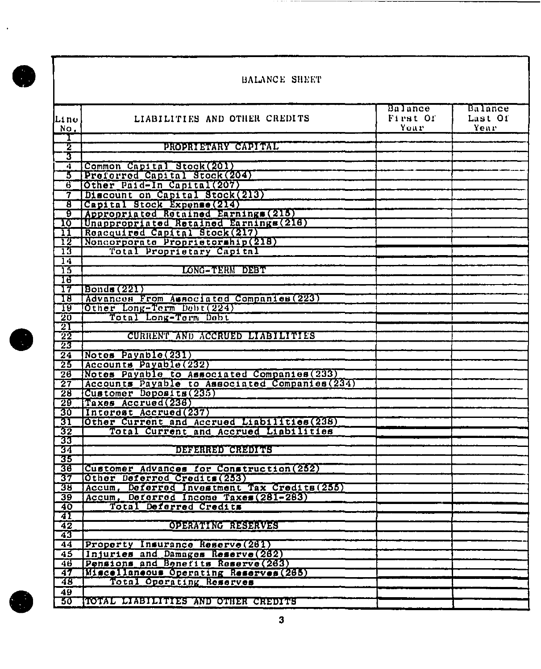$\bullet$ 

 $\bar{\beta}$ 

### BALANCE SHEET

. . . . <del>. . . . .</del>

|                            |                                                 | Balance  | Balance |
|----------------------------|-------------------------------------------------|----------|---------|
| lLi no                     | LIABILITIES AND OTHER CREDITS                   | First Of | Last Of |
| No.                        |                                                 | Your     | Year    |
|                            |                                                 |          |         |
| Σ                          | PROPRIETARY CAPITAL                             |          |         |
| τ                          |                                                 |          |         |
| Т                          | Common Capital Stock(201)                       |          |         |
| 3                          | Preferred Capital Stock (204)                   |          |         |
| र                          |                                                 |          |         |
|                            | Other Paid-In Capital (207)                     |          |         |
| 7                          | Discount on Capital Stock(213)                  |          |         |
| ह                          | Capital Stock Expense (214)                     |          |         |
| ढ़                         | Appropriated Retained Earnings (215)            |          |         |
| ᠋ᠯᢅ                        | Unappropriated Retained Earnings (216)          |          |         |
| $\overline{\mathbf{11}}$   | Reacquired Capital Stock (217)                  |          |         |
| 12                         | Noncorporate Proprietorship(218)                |          |         |
| 73                         | Total Proprietary Capital                       |          |         |
| $\overline{1}\overline{4}$ |                                                 |          |         |
| 73                         | LONG-TERM DEBT                                  |          |         |
| ाठ                         |                                                 |          |         |
| $\overline{17}$            | Bonds (221)                                     |          |         |
| TJ                         | Advances From Ausociated Companies (223)        |          |         |
| $\overline{19}$            | Other Long-Term Dobt (224)                      |          |         |
| $\overline{20}$            | Total Long-Term Debt                            |          |         |
| 21                         |                                                 |          |         |
| $\overline{22}$            | CURRENT AND ACCRUED LIABILITIES                 |          |         |
| 23                         |                                                 |          |         |
| $\overline{24}$            | Notes Payable(231)                              |          |         |
| 23                         | Accounts Payable (232)                          |          |         |
| $\overline{26}$            | Notes Payable to Associated Companies (233)     |          |         |
| $\overline{27}$            | Accounts Payable to Associated Companies (234)  |          |         |
| 28                         | Customer Doposits (235)                         |          |         |
| 29                         | Taxes Accrued(236)                              |          |         |
| 30                         | Interest Accrued (237)                          |          |         |
| 31                         | Other Current and Accrued Liabilities (238)     |          |         |
| $\overline{32}$            | Current and Accrued Liabilities<br>Total        |          |         |
| 33                         |                                                 |          |         |
| 34                         | DEFERRED CREDITS                                |          |         |
| 35                         |                                                 |          |         |
| 36                         | Customer Advances for Construction (252)        |          |         |
| 37                         | Other Deferred Credits (253)                    |          |         |
| 38                         | Deferred Investment Tax Credits (255)<br>Accum. |          |         |
| 39                         | Accum, Deferred Income Taxes (281-283)          |          |         |
| 40                         | Total Deferred Credits                          |          |         |
| 41                         |                                                 |          |         |
| 42                         | OPERATING RESERVES                              |          |         |
| 43                         |                                                 |          |         |
| 44                         | Property Insurance Reserve (261)                |          |         |
| 45                         | Injuries and Damages Reserve (262)              |          |         |
| 46                         | Pensions and Benefits Reserve (263)             |          |         |
| 47                         | Miscellaneous Operating Reserves (265)          |          |         |
| 48                         | Total Operating Reserves                        |          |         |
| 49                         |                                                 |          |         |
| 30                         | TOTAL LIABILITIES AND OTHER CREDITS             |          |         |
|                            |                                                 |          |         |

 $\overline{\mathbf{3}}$ 

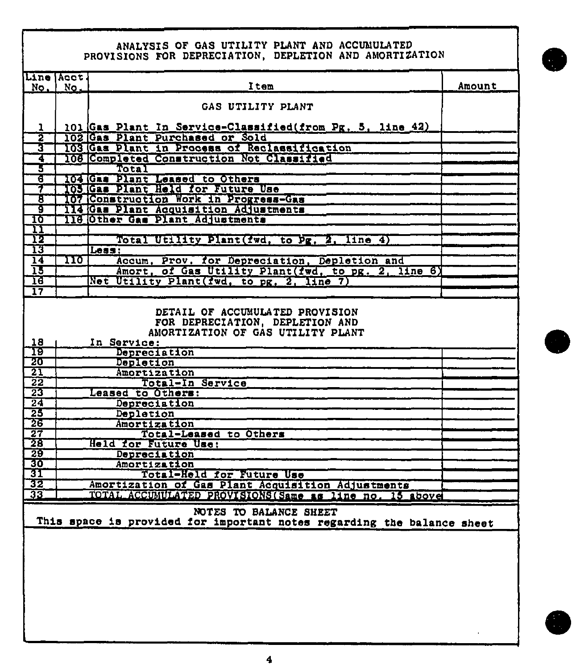## ANALYSIS OF GAS UTILITY PLANT AND ACCUMULATED<br>PROVISIONS FOR DEPRECIATION, DEPLETION AND AMORTIZATION

|                       | Line Acct.                |                                                                                                    |               |
|-----------------------|---------------------------|----------------------------------------------------------------------------------------------------|---------------|
| No.                   | No.                       | ltem                                                                                               | <b>Amount</b> |
|                       |                           | GAS UTILITY PLANT                                                                                  |               |
|                       |                           |                                                                                                    |               |
|                       |                           | 101 Gas Plant In Service-Classified (from Pg. 5, line 42)                                          |               |
| 2                     |                           | 102 Gas Plant Purchased or Sold                                                                    |               |
| 3                     |                           | 103 Gas Plant in Process of Reclassification                                                       |               |
| 4                     |                           | 108 Completed Construction Not Classified                                                          |               |
| 3                     |                           | Total                                                                                              |               |
| ढ                     |                           | 104 Gas Plant Leased to Others                                                                     |               |
| 7                     |                           | 105 Gas Plant Held for Future Use                                                                  |               |
| ह<br>ब                |                           | 107 Construction Work in Progress-Gas<br>114 Gas Plant Acquisition Adjustments                     |               |
| <u>10</u>             |                           | 116 Other Gas Plant Adjustments                                                                    |               |
| $\mathbf{u}$          |                           |                                                                                                    |               |
| 72                    |                           | Total Utility Plant (fwd, to Pg, 2, line 4)                                                        |               |
| 13                    |                           | Less:                                                                                              |               |
| $\overline{14}$       | $\overline{\mathbf{110}}$ | Accum, Prov. for Depreciation, Depletion and<br>Amort, of Gas Utility Plant(fwd, to pg. 2, line 6) |               |
| 15                    |                           |                                                                                                    |               |
| 16                    |                           | Net Utility Plant (fwd, to pg, 2, line 7)                                                          |               |
| $\overline{17}$       |                           |                                                                                                    |               |
| 18                    |                           | FOR DEPRECIATION, DEPLETION AND<br>AMORTIZATION OF GAS UTILITY PLANT<br>In Service:                |               |
| 19<br>20              |                           | Depreciation                                                                                       |               |
| $\overline{21}$       |                           | Depletion<br><b>Amortization</b>                                                                   |               |
| $\overline{22}$       |                           | Total-In Service                                                                                   |               |
| $\overline{23}$       |                           | Leased to Others:                                                                                  |               |
| $\overline{24}$       |                           | Depreciation                                                                                       |               |
| 23                    |                           | Depletion                                                                                          |               |
| 26                    |                           | Amortization                                                                                       |               |
| $\overline{27}$       |                           | Total-Leased to Others                                                                             |               |
| 28                    |                           | Held for Future Use:                                                                               |               |
| $\overline{29}$<br>30 |                           | Depreciation<br>Amortization                                                                       |               |
| 31                    |                           | Total-Held for Future Use                                                                          |               |
| 32                    |                           | Amortization of Gas Plant Acquisition Adjustments                                                  |               |
| $\overline{33}$       |                           | TOTAL ACCUMULATED PROVISIONS (Same as line no. 15 above                                            |               |
|                       |                           |                                                                                                    |               |
|                       |                           | NOTES TO BALANCE SHEET                                                                             |               |
|                       |                           | This space is provided for important notes regarding the balance sheet                             |               |
|                       |                           |                                                                                                    |               |
|                       |                           |                                                                                                    |               |
|                       |                           |                                                                                                    |               |
|                       |                           |                                                                                                    |               |
|                       |                           |                                                                                                    |               |
|                       |                           |                                                                                                    |               |
|                       |                           |                                                                                                    |               |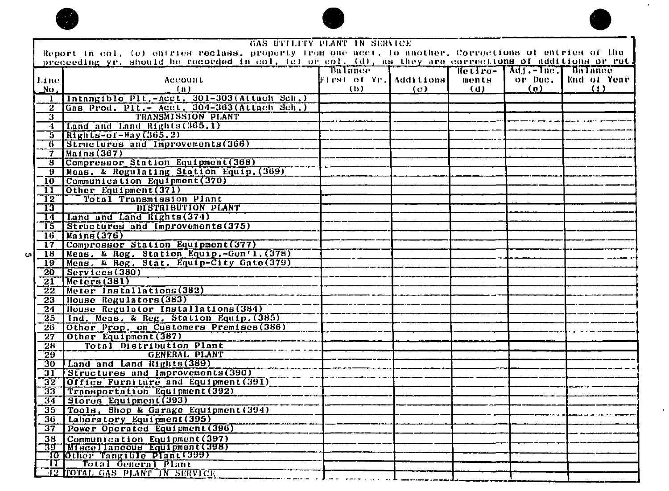



|           | GAS UTILITY PLANT IN SERVICE |                                                                                                                                                                                                                  |                        |     |          |                      |                  |  |  |
|-----------|------------------------------|------------------------------------------------------------------------------------------------------------------------------------------------------------------------------------------------------------------|------------------------|-----|----------|----------------------|------------------|--|--|
|           |                              | Report in col. (e) entries reclass, property from one acct. To another, Corrections of entries of the<br>preceeding yr, should be recorded in col. (c) or col. (d), as they are corrections of additions or ret. |                        |     |          |                      |                  |  |  |
|           |                              |                                                                                                                                                                                                                  | <b>Balance</b>         |     | Retiro-  | Adj. - Inc. Bultimee |                  |  |  |
|           | Linel                        | Account                                                                                                                                                                                                          | First of Yr. Additions |     | $m$ onts | or Doc.              | End of Year      |  |  |
|           | No.                          | (n)                                                                                                                                                                                                              | (b)                    | (c) | (d)      | $\left( 0 \right)$   | $\left(1\right)$ |  |  |
|           | -1                           | Intangible Plt.-Acct. 301-303(Attach Sch.)                                                                                                                                                                       |                        |     |          |                      |                  |  |  |
|           | $\overline{\mathbf{2}}$      | Gas Prod. Plt. - Acet. 304-363(Attach Sch.)                                                                                                                                                                      |                        |     |          |                      |                  |  |  |
|           | 3                            | TRANSMISSION PLANT                                                                                                                                                                                               |                        |     |          |                      |                  |  |  |
|           | 4                            | Land and Land Rights (365.1)                                                                                                                                                                                     |                        |     |          |                      |                  |  |  |
|           | 5.                           | $R1ghts-of-Way(365.2)$                                                                                                                                                                                           |                        |     |          |                      |                  |  |  |
|           | 6                            | Structures and Improvements (366)                                                                                                                                                                                |                        |     |          |                      |                  |  |  |
|           | 7                            | $M$ ains $(367)$                                                                                                                                                                                                 |                        |     |          |                      |                  |  |  |
|           | 8                            | Compressor Station Equipment (368)                                                                                                                                                                               |                        |     |          |                      |                  |  |  |
|           | $\mathbf{B}$                 | Moas, & Regulating Station Equip. (369)                                                                                                                                                                          |                        |     |          |                      |                  |  |  |
|           | 10 <sup>7</sup>              | Communication Equipment (370)                                                                                                                                                                                    |                        |     |          |                      |                  |  |  |
|           | 11                           | Other Equipment (371)                                                                                                                                                                                            |                        |     |          |                      |                  |  |  |
|           | $\overline{12}$              | Total Transmission Plant                                                                                                                                                                                         |                        |     |          |                      |                  |  |  |
|           | $\overline{13}$              | DISTRIBUTION PLANT                                                                                                                                                                                               |                        |     |          |                      |                  |  |  |
|           | 14                           | Land and Land Rights (374)                                                                                                                                                                                       |                        |     |          |                      |                  |  |  |
|           | 15                           | Structures and Improvements (375)                                                                                                                                                                                |                        |     |          |                      |                  |  |  |
|           | 16                           | $\overline{Mahns(376)}$                                                                                                                                                                                          |                        |     |          |                      |                  |  |  |
|           | 17 <sub>1</sub>              | Compressor Station Equipment (377)                                                                                                                                                                               |                        |     |          |                      |                  |  |  |
| <b>Cn</b> | 18                           | Meas, & Reg. Station Equip. - Gen'l. (378)                                                                                                                                                                       |                        |     |          |                      |                  |  |  |
|           | 19                           | Meas. & Reg. Stat. Equip-City Gate (379)                                                                                                                                                                         |                        |     |          |                      |                  |  |  |
|           | $\overline{20}$              | Services (380)                                                                                                                                                                                                   |                        |     |          |                      |                  |  |  |
|           | $\overline{21}$              | $ $ Meters $(381)$                                                                                                                                                                                               |                        |     |          |                      |                  |  |  |
|           | $\overline{2}\overline{2}$   | Meter Installations (382)                                                                                                                                                                                        |                        |     |          |                      |                  |  |  |
|           | 23                           | House Regulators (383)<br>House Regulator Installations (384)                                                                                                                                                    |                        |     |          |                      |                  |  |  |
|           | 24                           | Ind. Meas. & Reg. Station Equip. (385)                                                                                                                                                                           |                        |     |          |                      |                  |  |  |
|           | $25\,$                       | Other Prop. on Customers Premises (386)                                                                                                                                                                          |                        |     |          |                      |                  |  |  |
|           | 26<br>$\overline{27}$        | Other Equipment (387)                                                                                                                                                                                            |                        |     |          |                      |                  |  |  |
|           | 28                           | <b>Total Distribution Plant</b>                                                                                                                                                                                  |                        |     |          |                      |                  |  |  |
|           | $\overline{29}$              | <b>GENERAL PLANT</b>                                                                                                                                                                                             |                        |     |          |                      |                  |  |  |
|           | 30                           | Land and Land Rights (389)                                                                                                                                                                                       |                        |     |          |                      |                  |  |  |
|           | 31                           | Structures and Improvements (390)                                                                                                                                                                                |                        |     |          |                      |                  |  |  |
|           | 32                           | Office Furniture and Equipment (391)                                                                                                                                                                             |                        |     |          |                      |                  |  |  |
|           | $\overline{33}$              | Transportation Equipment (392)                                                                                                                                                                                   |                        |     |          |                      |                  |  |  |
|           | 34                           | Stores Equipment (393)                                                                                                                                                                                           |                        |     |          |                      |                  |  |  |
|           | 35                           | Tools, Shop & Garage Equipment (394)                                                                                                                                                                             |                        |     |          |                      |                  |  |  |
|           | 36.                          | Laboratory Equipment (395)                                                                                                                                                                                       |                        |     |          |                      |                  |  |  |
|           | 37                           | Power Operated Equipment (396)                                                                                                                                                                                   |                        |     |          |                      |                  |  |  |
|           | 38                           | Communication Equipment (397)                                                                                                                                                                                    |                        |     |          |                      |                  |  |  |
|           |                              | 39 Miscellaneous Equipment (398)                                                                                                                                                                                 |                        |     |          |                      |                  |  |  |
|           |                              | 10 Other Tangible Plant (399)                                                                                                                                                                                    |                        |     |          |                      |                  |  |  |
|           | ŦГ                           | Total General Plant                                                                                                                                                                                              |                        |     |          |                      |                  |  |  |
|           |                              | 42 TOTAL GAS PLANT IN SERVICE                                                                                                                                                                                    |                        |     |          |                      |                  |  |  |

--------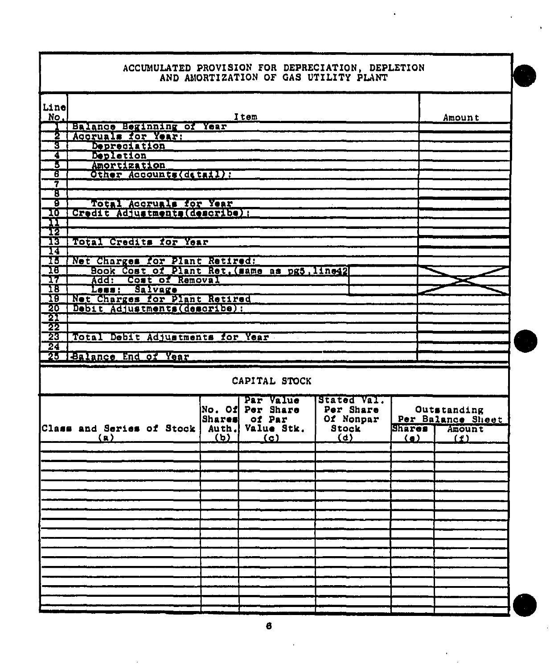|                                       |  | ACCUMULATED PROVISION FOR DEPRECIATION, DEPLETION |
|---------------------------------------|--|---------------------------------------------------|
| AND AMORTIZATION OF GAS UTILITY PLANT |  |                                                   |

| Line<br>No.     |                                              |               | Item                                                        |                                                       |               | Amount                                            |
|-----------------|----------------------------------------------|---------------|-------------------------------------------------------------|-------------------------------------------------------|---------------|---------------------------------------------------|
|                 | Balance Beginning of Year                    |               |                                                             |                                                       |               |                                                   |
| 2               | Accruals for Year:                           |               |                                                             |                                                       |               |                                                   |
| Î               | Depreciation                                 |               |                                                             |                                                       |               |                                                   |
| 7               | Depletion                                    |               |                                                             |                                                       |               |                                                   |
| 3               | Amortization                                 |               |                                                             |                                                       |               |                                                   |
| ह               | Other Accounts (detail):                     |               |                                                             |                                                       |               |                                                   |
| 7               |                                              |               |                                                             |                                                       |               |                                                   |
| T               |                                              |               |                                                             |                                                       |               |                                                   |
| g               | Total Accruals for Year                      |               |                                                             |                                                       |               |                                                   |
| 10              | Credit Adjustments (describe) :              |               |                                                             |                                                       |               |                                                   |
|                 |                                              |               |                                                             |                                                       |               |                                                   |
| $\frac{11}{12}$ |                                              |               |                                                             |                                                       |               |                                                   |
| 13              | Total Credits for Year                       |               |                                                             |                                                       |               |                                                   |
| 14              |                                              |               |                                                             |                                                       |               |                                                   |
| 13              | Net Charges for Plant Retired:               |               |                                                             |                                                       |               |                                                   |
| 18              | Book Cost of Plant Ret, (same as pg5, line42 |               |                                                             |                                                       |               |                                                   |
| 17              | Add:<br>Cost of Removal                      |               |                                                             |                                                       |               |                                                   |
| 18              | Salvage<br>Less :                            |               |                                                             |                                                       |               |                                                   |
| 19              | Net Charges for Plant Retired                |               |                                                             |                                                       |               |                                                   |
| 20              | Debit Adjustments(describe):                 |               |                                                             |                                                       |               |                                                   |
| 21              |                                              |               |                                                             |                                                       |               |                                                   |
| 22              |                                              |               |                                                             |                                                       |               |                                                   |
| 23              | Total Debit Adjustments for Year             |               |                                                             |                                                       |               |                                                   |
|                 |                                              |               |                                                             |                                                       |               |                                                   |
| 24              |                                              |               |                                                             |                                                       |               |                                                   |
|                 | 25 Balance End of Year                       |               |                                                             |                                                       |               |                                                   |
|                 |                                              |               | CAPITAL STOCK                                               |                                                       |               |                                                   |
|                 | Class and Series of Stock                    | <b>Shares</b> | Par Value<br>No. Of Per Share<br>of Par<br>Auth. Value Stk. | Stated Val.<br>Per Share<br>Of Nonpar<br><b>Stock</b> | <b>Shares</b> | Outstanding<br>Per Balance Sheet<br><b>Amount</b> |
|                 | (a)                                          | <u>(b)</u>    | (c)                                                         | (d)                                                   | <u>(a)</u>    | (f)                                               |
|                 |                                              |               |                                                             |                                                       |               |                                                   |
|                 |                                              |               |                                                             |                                                       |               |                                                   |
|                 |                                              |               |                                                             |                                                       |               |                                                   |
|                 |                                              |               |                                                             |                                                       |               |                                                   |
|                 |                                              |               |                                                             |                                                       |               |                                                   |
|                 |                                              |               |                                                             |                                                       |               |                                                   |
|                 |                                              |               |                                                             |                                                       |               |                                                   |
|                 |                                              |               |                                                             |                                                       |               |                                                   |
|                 |                                              |               |                                                             |                                                       |               |                                                   |
|                 |                                              |               |                                                             |                                                       |               |                                                   |
|                 |                                              |               |                                                             |                                                       |               |                                                   |
|                 |                                              |               |                                                             |                                                       |               |                                                   |
|                 |                                              |               |                                                             |                                                       |               |                                                   |
|                 |                                              |               |                                                             |                                                       |               |                                                   |
|                 |                                              |               |                                                             |                                                       |               |                                                   |
|                 |                                              |               |                                                             |                                                       |               |                                                   |
|                 |                                              |               |                                                             |                                                       |               |                                                   |
|                 |                                              |               |                                                             |                                                       |               |                                                   |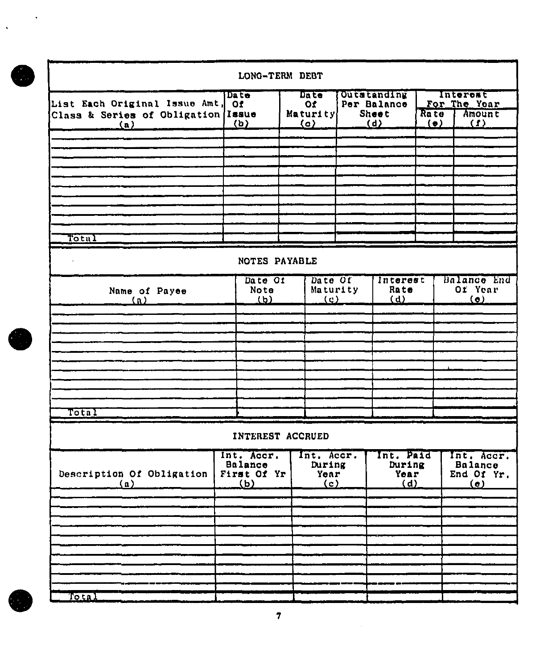|                                                                               | LONG-TERM DEBT                                       |            |                                       |                                                          |                                    |                                                        |                                           |  |
|-------------------------------------------------------------------------------|------------------------------------------------------|------------|---------------------------------------|----------------------------------------------------------|------------------------------------|--------------------------------------------------------|-------------------------------------------|--|
| List Each Original Issue Amt, Of<br>Class & Series of Obligation Issue<br>(n) | Date<br>$\omega$                                     | <u>(o)</u> | Date<br>$\Omega$<br>Maturity          | <b>Outstanding</b><br>Per Balance<br><b>Sheet</b><br>(d) | Ra te<br>$\langle \bullet \rangle$ |                                                        | Interest<br>For The Yoar<br>Amount<br>(1) |  |
|                                                                               |                                                      |            |                                       |                                                          |                                    |                                                        |                                           |  |
|                                                                               |                                                      |            |                                       |                                                          |                                    |                                                        |                                           |  |
|                                                                               |                                                      |            |                                       |                                                          |                                    |                                                        |                                           |  |
| Total                                                                         |                                                      |            |                                       |                                                          |                                    |                                                        |                                           |  |
|                                                                               | NOTES PAYABLE                                        |            |                                       |                                                          |                                    |                                                        |                                           |  |
| Name of Payee<br>$\Omega$                                                     | Date Of<br>Note<br>(b)                               |            | Date Of<br>Maturity<br>$\overline{Q}$ | Interest<br>Rate<br>(d)                                  | Balance End<br>Of Year<br>$\circ$  |                                                        |                                           |  |
|                                                                               |                                                      |            |                                       |                                                          |                                    |                                                        |                                           |  |
|                                                                               |                                                      |            |                                       |                                                          |                                    |                                                        |                                           |  |
|                                                                               |                                                      |            |                                       |                                                          |                                    |                                                        |                                           |  |
|                                                                               |                                                      |            |                                       |                                                          |                                    |                                                        |                                           |  |
|                                                                               |                                                      |            |                                       |                                                          |                                    |                                                        |                                           |  |
|                                                                               |                                                      |            |                                       |                                                          |                                    |                                                        |                                           |  |
| Total                                                                         |                                                      |            |                                       |                                                          |                                    |                                                        |                                           |  |
|                                                                               | INTEREST ACCRUED                                     |            |                                       |                                                          |                                    |                                                        |                                           |  |
| Description Of Obligation<br>(n)                                              | Int. Accr.<br>Balance<br>First Of Yr  <br><u>(b)</u> |            | Int. Accr.<br>During<br>Year<br>(c)   | Int. Paid<br>During<br>Year<br>(d)                       |                                    | Int. Accr.<br><b>Balance</b><br>End Of Yr.<br>$\omega$ |                                           |  |
|                                                                               |                                                      |            |                                       |                                                          |                                    |                                                        |                                           |  |
|                                                                               |                                                      |            |                                       |                                                          |                                    |                                                        |                                           |  |
|                                                                               |                                                      |            |                                       |                                                          |                                    |                                                        |                                           |  |
|                                                                               |                                                      |            |                                       |                                                          |                                    |                                                        |                                           |  |
|                                                                               |                                                      |            |                                       |                                                          |                                    |                                                        |                                           |  |
|                                                                               |                                                      |            |                                       |                                                          |                                    |                                                        |                                           |  |
|                                                                               |                                                      |            |                                       |                                                          |                                    |                                                        |                                           |  |
| Tota                                                                          |                                                      |            |                                       |                                                          |                                    |                                                        |                                           |  |

l,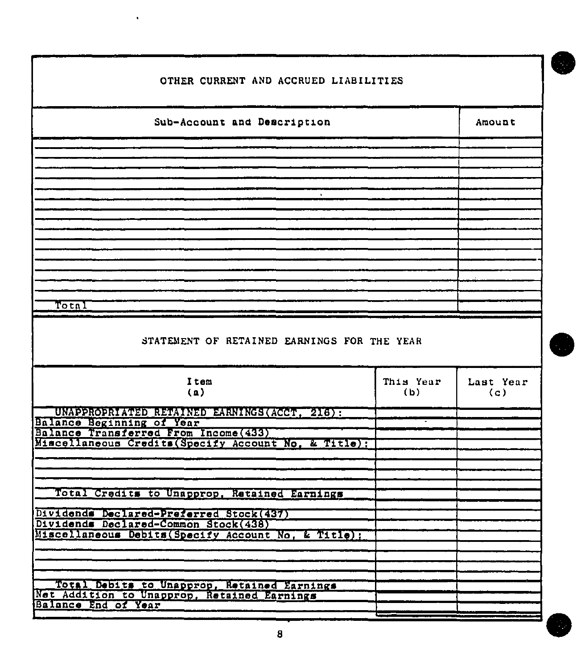| OTHER CURRENT AND ACCRUED LIABILITIES                                                                                                  |                  |                  |  |  |  |  |  |  |
|----------------------------------------------------------------------------------------------------------------------------------------|------------------|------------------|--|--|--|--|--|--|
| Sub-Account and Description                                                                                                            | Amount           |                  |  |  |  |  |  |  |
|                                                                                                                                        |                  |                  |  |  |  |  |  |  |
|                                                                                                                                        |                  |                  |  |  |  |  |  |  |
|                                                                                                                                        |                  |                  |  |  |  |  |  |  |
|                                                                                                                                        |                  |                  |  |  |  |  |  |  |
| Total                                                                                                                                  |                  |                  |  |  |  |  |  |  |
|                                                                                                                                        |                  |                  |  |  |  |  |  |  |
| STATEMENT OF RETAINED EARNINGS FOR THE YEAR                                                                                            |                  |                  |  |  |  |  |  |  |
| Item<br>(a)                                                                                                                            | This Year<br>(b) | Last Year<br>(c) |  |  |  |  |  |  |
| UNAPPROPRIATED RETAINED EARNINGS (ACCT. 216):<br>Balance Beginning of Year<br>Balance Transferred From Income (433)                    |                  |                  |  |  |  |  |  |  |
| Miscellaneous Credits (Specify Account No. & Title);                                                                                   |                  |                  |  |  |  |  |  |  |
| Total Credits to Unapprop, Retained Earnings                                                                                           |                  |                  |  |  |  |  |  |  |
| Dividends Declared-Preferred Stock(437)<br>Dividends Declared-Common Stock(438)<br>Miscellaneous Debits (Specify Account No. & Title); |                  |                  |  |  |  |  |  |  |
|                                                                                                                                        |                  |                  |  |  |  |  |  |  |
|                                                                                                                                        |                  |                  |  |  |  |  |  |  |
| Total Debits to Unapprop, Retained Earnings<br>Balance End of Year                                                                     |                  |                  |  |  |  |  |  |  |

 $\overline{\phantom{a}}$ 

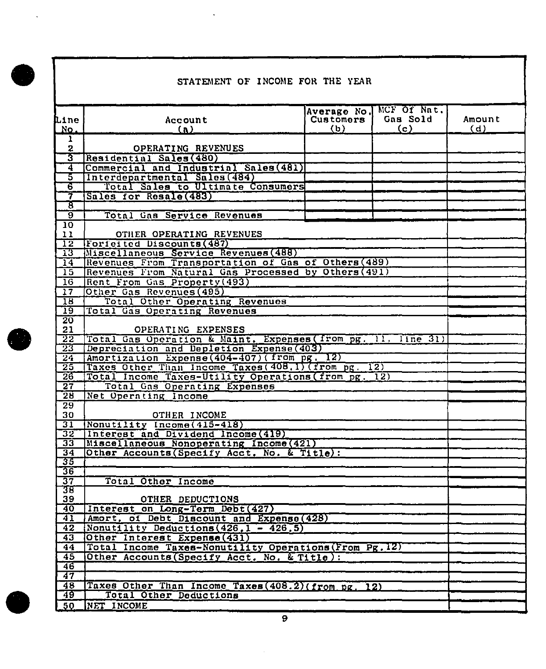$\bullet$ 

 $\sim 10^{-10}$ 

### STATEMENT OF INCOME FOR THE YEAR

 $\sim 10^{-10}$ 

|                       |                                                              | Average No.      | MCF Of Nat.       |        |  |  |  |  |
|-----------------------|--------------------------------------------------------------|------------------|-------------------|--------|--|--|--|--|
| <b>Line</b>           | Account                                                      | <b>Customers</b> | Gas Sold          | Amount |  |  |  |  |
| Νo.                   | $\mathbf{a}$                                                 | (b)              | $\left( c\right)$ | (d)    |  |  |  |  |
| ı                     |                                                              |                  |                   |        |  |  |  |  |
| $\mathbf{z}$          | OPERATING REVENUES                                           |                  |                   |        |  |  |  |  |
| স্ত                   | Residential Sales (480)                                      |                  |                   |        |  |  |  |  |
| 4                     | Commercial and Industrial Sales (481)                        |                  |                   |        |  |  |  |  |
| ड                     | Interdepartmental Sales (484)                                |                  |                   |        |  |  |  |  |
| ढ                     | Total Sales to Ultimate Consumers                            |                  |                   |        |  |  |  |  |
| 7                     | Sales for Resale(483)                                        |                  |                   |        |  |  |  |  |
| रु                    |                                                              |                  |                   |        |  |  |  |  |
| छ                     | Total Gas Service Revenues                                   |                  |                   |        |  |  |  |  |
| 10                    |                                                              |                  |                   |        |  |  |  |  |
| 11                    | OTHER OPERATING REVENUES<br>Forfeited Discounts (487)        |                  |                   |        |  |  |  |  |
| 12<br>13              | Miscellaneous Service Revenues (488)                         |                  |                   |        |  |  |  |  |
| 14                    | Revenues From Transportation of Gas of Others (489)          |                  |                   |        |  |  |  |  |
| 15                    | Revenues From Natural Gas Processed by Others (491)          |                  |                   |        |  |  |  |  |
| 16                    | Rent From Gas Property (493)                                 |                  |                   |        |  |  |  |  |
| 17                    | Other Gas Revenues (495)                                     |                  |                   |        |  |  |  |  |
| $\overline{18}$       | Total Other Operating Revenues                               |                  |                   |        |  |  |  |  |
| $\overline{19}$       | Total Gas Operating Revenues                                 |                  |                   |        |  |  |  |  |
| $\overline{20}$       |                                                              |                  |                   |        |  |  |  |  |
| 21                    | OPERATING EXPENSES                                           |                  |                   |        |  |  |  |  |
| 22                    | Total Gas Operation & Maint. Expenses (from pg. 11. line 31) |                  |                   |        |  |  |  |  |
| 23                    | Depreciation and Depletion Expense(403)                      |                  |                   |        |  |  |  |  |
| 24                    | Amortization Expense (404-407) (from pg. 12)                 |                  |                   |        |  |  |  |  |
| $\overline{25}$       | Taxes Other Than Income Taxes (408.1) (from pg. 12)          |                  |                   |        |  |  |  |  |
| 26                    | Total Income Taxes-Utility Operations (from pg. 12)          |                  |                   |        |  |  |  |  |
| $\overline{27}$       | Total Gas Operating Expenses                                 |                  |                   |        |  |  |  |  |
| 28                    | Net Operating Income                                         |                  |                   |        |  |  |  |  |
| $\overline{29}$       |                                                              |                  |                   |        |  |  |  |  |
| 30                    | OTHER INCOME                                                 |                  |                   |        |  |  |  |  |
| 31                    | Nonutility Income(415-418)                                   |                  |                   |        |  |  |  |  |
| 32                    | Interest and Dividend Income (419)                           |                  |                   |        |  |  |  |  |
| $\overline{33}$       | Miscellaneous Nonoperating Income (421)                      |                  |                   |        |  |  |  |  |
| $\overline{34}$       | Other Accounts (Specify Acct. No. & Title):                  |                  |                   |        |  |  |  |  |
| 35                    |                                                              |                  |                   |        |  |  |  |  |
| $\overline{36}$<br>37 |                                                              |                  |                   |        |  |  |  |  |
| उम्र                  | Total Other Income                                           |                  |                   |        |  |  |  |  |
| 39                    | OTHER DEDUCTIONS                                             |                  |                   |        |  |  |  |  |
| $\overline{40}$       | Interest on Long-Term Debt(427)                              |                  |                   |        |  |  |  |  |
| 41                    | Amort, of Debt Discount and Expense (428)                    |                  |                   |        |  |  |  |  |
| 42                    | Nonutility Deductions $(426.1 - 426.5)$                      |                  |                   |        |  |  |  |  |
| $\overline{43}$       | Other Interest Expense (431)                                 |                  |                   |        |  |  |  |  |
| 44                    | Total Income Taxes-Nonutility Operations (From Pg. 12)       |                  |                   |        |  |  |  |  |
| 45                    | Other Accounts (Specify Acct. No. & Title):                  |                  |                   |        |  |  |  |  |
| 46                    |                                                              |                  |                   |        |  |  |  |  |
| 47                    |                                                              |                  |                   |        |  |  |  |  |
| 48                    | Taxes Other Than Income Taxes (408.2) (from pg. 12)          |                  |                   |        |  |  |  |  |
| 49                    | Total Other Deductions                                       |                  |                   |        |  |  |  |  |
| 50                    | NET INCOME                                                   |                  |                   |        |  |  |  |  |
|                       |                                                              |                  |                   |        |  |  |  |  |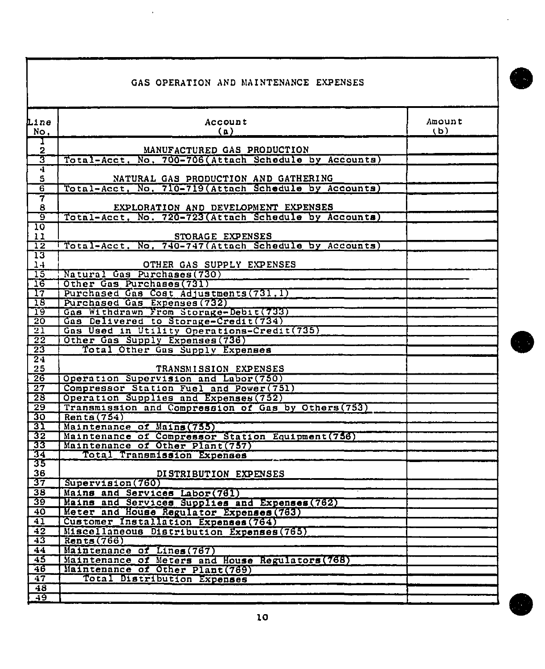|                                                               | GAS OPERATION AND MAINTENANCE EXPENSES                                                        |               |
|---------------------------------------------------------------|-----------------------------------------------------------------------------------------------|---------------|
| Line<br>No.                                                   | Account<br>(a)                                                                                | Amount<br>(b) |
| T<br>$\overline{\mathbf{2}}$                                  | MANUFACTURED GAS PRODUCTION                                                                   |               |
| ত্ত                                                           | Total-Acct, No. 700-706(Attach Schedule by Accounts)                                          |               |
| $\overline{\mathbf{4}}$                                       |                                                                                               |               |
| ${\tt S}$<br>6                                                | NATURAL GAS PRODUCTION AND GATHERING<br>Total-Acct, No. 710-719 (Attach Schedule by Accounts) |               |
| 7                                                             |                                                                                               |               |
| 8                                                             | EXPLORATION AND DEVELOPMENT EXPENSES                                                          |               |
| <u>َ وَ</u>                                                   | Total-Acct, No. 720-723 (Attach Schedule by Accounts)                                         |               |
| 10<br>11                                                      | STORAGE EXPENSES                                                                              |               |
| $\overline{12}$                                               | Total-Acct, No. 740-747 (Attach Schedule by Accounts)                                         |               |
| $\overline{13}$                                               |                                                                                               |               |
| $1 -$<br>15                                                   | OTHER GAS SUPPLY EXPENSES<br>Natural Gas Purchases (730)                                      |               |
| 16                                                            | Other Gas Purchases (731)                                                                     |               |
| $\mathbf{T}$                                                  | Purchased Gas Cost Adjustments (731.1)                                                        |               |
| 18                                                            | Purchased Gas Expenses (732)                                                                  |               |
| -19                                                           | Gas Withdrawn From Storage-Debit(733)                                                         |               |
| $\overline{20}$<br>$\overline{21}$                            | Gas Delivered to Storage-Credit(734)<br>Gas Used in Utility Operations-Credit (735)           |               |
| $\overline{22}$                                               | Other Gas Supply Expenses (736)                                                               |               |
| $\overline{23}$                                               | Total Other Gas Supply Expenses                                                               |               |
| $\overline{24}$                                               |                                                                                               |               |
| 25<br>$\overline{26}$                                         | TRANSMISSION EXPENSES<br>Operation Supervision and Labor (750)                                |               |
| $\overline{27}$                                               | Compressor Station Fuel and Power (751)                                                       |               |
| -28                                                           | Operation Supplies and Expenses (752)                                                         |               |
| -29                                                           | Transmission and Compression of Gas by Others (753)                                           |               |
| 30                                                            | Rents(754)                                                                                    |               |
| 31<br>32                                                      | Maintenance of Mains (755)<br>Maintenance of Compressor Station Equipment (756)               |               |
| 33                                                            | Maintenance of Other Plant (757)                                                              |               |
| 34                                                            | <b>Total Transmission Expenses</b>                                                            |               |
| 35                                                            |                                                                                               |               |
| 36<br>37                                                      | DISTRIBUTION EXPENSES<br>Supervision(760)                                                     |               |
|                                                               | Mains and Services Labor(761)                                                                 |               |
| $\begin{array}{ c c }\n\hline\n38 \\ \hline\n39\n\end{array}$ | Mains and Services Supplies and Expenses (762)                                                |               |
| 40                                                            | Meter and House Regulator Expenses (763)                                                      |               |
| $\overline{41}$                                               | Customer Installation Expenses (764)                                                          |               |
| $\overline{42}$<br>$\overline{43}$                            | Miscellaneous Distribution Expenses (765)<br>Rents(766)                                       |               |
| 44                                                            | Maintenance of Lines (767)                                                                    |               |
| 45                                                            | Maintenance of Meters and House Regulators (768)                                              |               |
| 46                                                            | Maintenance of Other Plant (769)                                                              |               |
| $\overline{47}$                                               | Total Distribution Expenses                                                                   |               |
| $\overline{48}$<br>49                                         |                                                                                               |               |
|                                                               |                                                                                               |               |

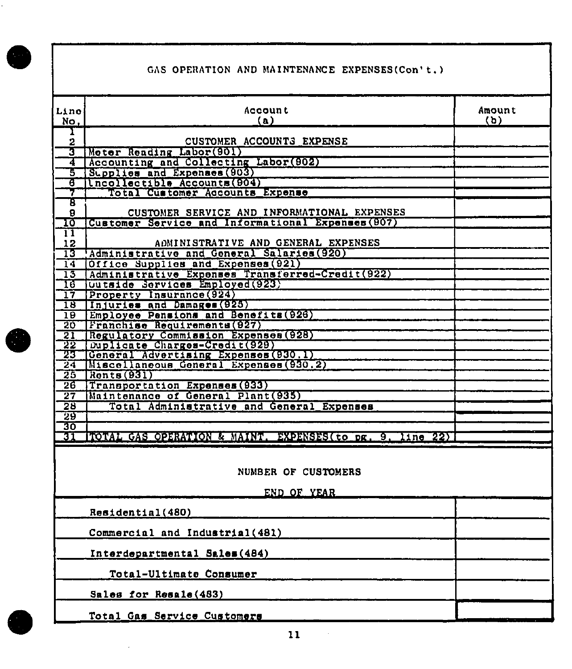## GAS OPERATION AND MAINTENANCE EXPENSES(Con't.)

| Line<br>No.        | <b>Account</b><br>(a)                                     | Amount<br>(b) |
|--------------------|-----------------------------------------------------------|---------------|
|                    |                                                           |               |
| ı<br>2             | CUSTOMER ACCOUNTS EXPENSE                                 |               |
| 3                  | Moter Reading Labor (901)                                 |               |
|                    |                                                           |               |
| 4                  | Accounting and Collecting Labor (902)                     |               |
| Ъ                  | Supplies and Expenses (903)                               |               |
| ह                  | Incollectible Accounts (904)                              |               |
| 7                  | Total Customer Accounts Expense                           |               |
| ह                  |                                                           |               |
| 9                  | CUSTOMER SERVICE AND INFORMATIONAL EXPENSES               |               |
| ᠋                  | Customer Service and Informational Expenses (907)         |               |
| $\boldsymbol{\Pi}$ |                                                           |               |
| 12                 | ADMINISTRATIVE AND GENERAL EXPENSES                       |               |
| 13                 | Administrative and General Salaries (920)                 |               |
| $\overline{14}$    | Office Supplies and Expenses (921)                        |               |
| $\overline{15}$    | Administrative Expenses Transferred-Credit(922)           |               |
| ᡏᡦ                 | Outside Services Employed (923)                           |               |
| 17                 | Property Insurance (924)                                  |               |
| $\overline{18}$    | Injuries and Damages (925)                                |               |
| $\overline{19}$    | Employee Pensions and Benefits (926)                      |               |
| $\overline{20}$    | Franchise Requirements (927)                              |               |
| 21                 | Regulatory Commission Expenses (928)                      |               |
| 22                 | Duplicate Charges-Credit(929)                             |               |
| 23                 | General Advertising Expenses (930.1)                      |               |
| 24                 | Miscellaneous General Expenses (930.2)                    |               |
| 25                 | $R$ onts $(931)$                                          |               |
| $\overline{26}$    | Transportation Expenses (933)                             |               |
| $\overline{27}$    | Maintenance of General Plant (935)                        |               |
| $\overline{28}$    | Total Administrative and General Expenses                 |               |
| 29                 |                                                           |               |
| 30                 |                                                           |               |
| 31                 | FOTAL CAS OPERATION & MAINT. EXPENSES (to pg. 9, line 22) |               |
|                    |                                                           |               |
|                    |                                                           |               |
|                    |                                                           |               |
|                    | NUMBER OF CUSTOMERS                                       |               |
|                    |                                                           |               |
|                    | END OF YEAR                                               |               |
|                    |                                                           |               |
|                    | Residential(480)                                          |               |
|                    |                                                           |               |
|                    | Commercial and Industrial (481)                           |               |
|                    |                                                           |               |
|                    | Interdepartmental Sales (484)                             |               |
|                    |                                                           |               |
|                    | Total-Ultimate Consumer                                   |               |
|                    |                                                           |               |
|                    | Sales for Resale (483)                                    |               |
|                    |                                                           |               |
|                    | Total Cos Renuins Customers                               |               |

 $11$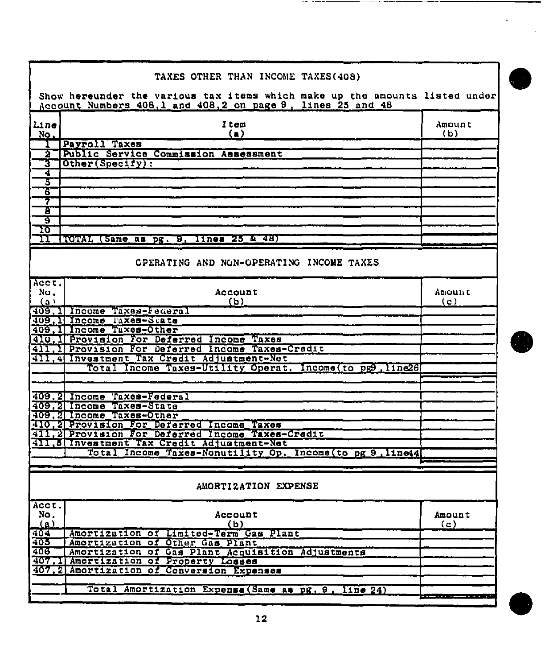<span id="page-22-0"></span>

|       | TAXES OTHER THAN INCOME TAXES(408)                                          |        |
|-------|-----------------------------------------------------------------------------|--------|
|       |                                                                             |        |
|       | Show hereunder the various tax items which make up the amounts listed under |        |
|       | Account Numbers 408,1 and 408,2 on page 9, lines 25 and 48                  |        |
|       |                                                                             |        |
| Line  | Item                                                                        | Amount |
| No.   | (a)                                                                         | (b)    |
|       | Payroll Taxes                                                               |        |
| 2     | Public Service Commission Assessment                                        |        |
| 3     | Other(Specify):                                                             |        |
| 4     |                                                                             |        |
| 3     |                                                                             |        |
| 6     |                                                                             |        |
| 7     |                                                                             |        |
| τ     |                                                                             |        |
|       |                                                                             |        |
| ठ     |                                                                             |        |
| 10    |                                                                             |        |
| п     | TOTAL (Same as pg. 9,<br>lines 25 & 48)                                     |        |
|       |                                                                             |        |
|       | CPERATING AND NON-OPERATING INCOME TAXES                                    |        |
|       |                                                                             |        |
|       |                                                                             |        |
| Acct. |                                                                             |        |
| No.   | Account                                                                     | Amount |
| (ລ)   | (b)                                                                         | (c)    |
|       | 409.1 Income Taxes-Federal                                                  |        |
|       | 409. Il Income l'axes-State                                                 |        |
| 409.  | Income Taxes-Other                                                          |        |
| 410   | , I Provision for Deferred Income Taxes                                     |        |
| 41]   | Provision For Deferred Income Taxes-Credit                                  |        |
|       | 411, 4 Investment Tax Credit Adjustment-Net                                 |        |
|       | Total Income Taxes-Utility Operat. Income to pg9, line26                    |        |
|       |                                                                             |        |
|       |                                                                             |        |
|       | 409.2 Income Taxes-Federal                                                  |        |
|       | 409.2 Income Taxes-State                                                    |        |
|       | 409.2 Income Taxes-Other                                                    |        |
|       | 410, 2 Provision For Deferred Income Taxes                                  |        |
|       | .2 Provision For Deferred Income Taxes-Credit                               |        |
|       | 411.5 Investment Tax Credit Adjustment-Net                                  |        |
|       |                                                                             |        |
|       | Income Taxes-Nonutility Op.<br><b>Total</b><br>$Incone(to$ pg 9.11ne44      |        |
|       |                                                                             |        |
|       |                                                                             |        |
|       | AMORTIZATION EXPENSE                                                        |        |
|       |                                                                             |        |
| Acct. |                                                                             |        |
| No.   | Account                                                                     | Amount |
| (a)   | (b)                                                                         |        |
|       |                                                                             | (c)    |
| 404   | Amortization of Limited-Term Gas Plant                                      |        |
| 405   | Amortization of Other Gas Plant                                             |        |
| 406   | Amortization of Gas Plant Acquisition Adjustments                           |        |
|       | 407.1 Amortization of Property Losses                                       |        |
|       | 407.2 Amortization of Conversion Expenses                                   |        |
|       |                                                                             |        |
|       | Total Amortization Expense (Same as pg. 9,<br>$\sqrt{11n+24}$               |        |
|       |                                                                             |        |

 $\cdots$  $-$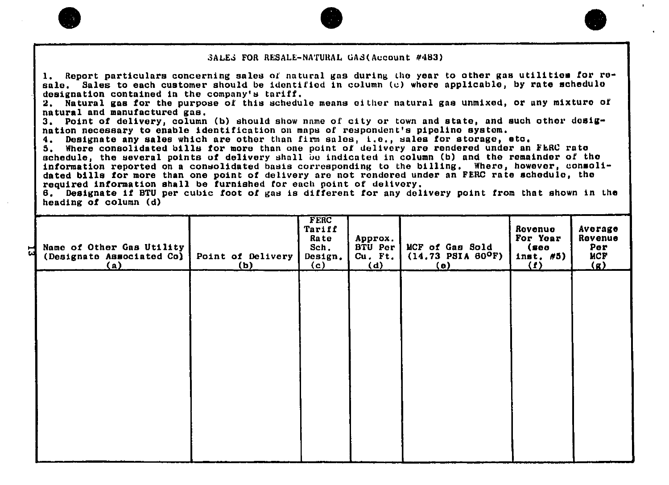

1. Report particulars concerning sales of natural gas during the year to other gas utilition for resale, Sales to each customer should be identified in column (c) whore applicable, by rate echedulo designation contained in the company's tariff.

 $2.$  Natural gas for the purpose of this schedule means cither natural gas unmixed, or any mixture of natural and manufactured gas.

3. Point of delivery, column (b) should show name of city or town and state, and such othor dosignation necessary to enable identification on maps of respondent's pipelino system.<br>4. Designate any sales which are other than firm sales, i.e., sales for storage, 0

4. Designate any sales which are other than firm sales, i.e., sales for storage, etc.<br>5. Where consolidated bills for more than one point of delivery are rendered under an Where consolidated bills for more than one point of delivery are rendered under an FERC rate schedule, the several points of delivery shall be indicated in column (b) and the remainder of the information reported on a consolidated basis corresponding to the billing. Where, however, consolidated bills for more than one point of delivery are not rendered under an FERC rate echedule, tho required information shall be furnished tor each point of delivery,

6. Designate if BTU per cubic foot of gas is different for any delivery point from that shown in the heading of column (d)

| Name of Other Gas Utility<br>(Designate Associated Co)<br>(a) | Point of Delivery<br>(b) | FERC<br>Tariff<br>Rate<br>Sch.<br>Design.<br>(c) | Approx.<br>BTU Per<br>$Cu.$ $Ft.$<br>(d) | MCF of Gas Sold<br>$(14.73$ PSIA 60 <sup>O</sup> F)<br>(e) | Rovenue<br>For Year<br>(see<br>inst. #5)<br>$\Omega$ | Average<br>Revenue<br>Per<br><b>MCF</b><br>$\bf{q}$ |
|---------------------------------------------------------------|--------------------------|--------------------------------------------------|------------------------------------------|------------------------------------------------------------|------------------------------------------------------|-----------------------------------------------------|
|                                                               |                          |                                                  |                                          |                                                            |                                                      |                                                     |
|                                                               |                          |                                                  |                                          |                                                            |                                                      |                                                     |
|                                                               |                          |                                                  |                                          |                                                            |                                                      |                                                     |
|                                                               |                          |                                                  |                                          |                                                            |                                                      |                                                     |



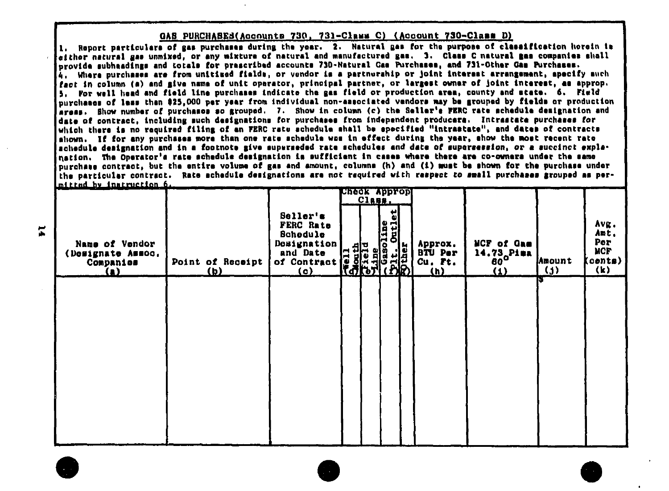#### GAS PURCHASES(Accounts 730, 731-Class C) (Account 730-Class D)

1. Report particulars of gas purchases during the year. 2. Natural gas for the purpose of classification horein is aither natural gas unmixed, or any mixture of natural and manufactured gas. 3. Class C natural mas companies ahall provide subhaadings and totals for prescribed accounts 730-Natural Gas Purchases, and 731-Other Gas Purchases. 4. Where purchases are from unitized fields, or vendor is a partnership or joint interest arrangement, specify such fact in column (a) and give name of unit operator, principal partner, or largest owner of joint interest, as approp. 5. For well head and field line purchases indicate the gas field or production area, county and state. 6. Field purchases of less then \$25,000 per year from individual non-associated vendors may be grouped by fields or production arass. Show number of purchases so arouped. 7. Show in column (c) the Seller's FERC rate schedule designation and date of contract, including such designations for purchases from independent producers. Intrastate purchases for which there is no required filing of an FERC rate achedule shall be specified "intrastate", and dates of contracts shown. If for any purchases more than one rate schedule was in effect during the year, show the most recent rate schedule designation and in a footnote give superseded rate schedules and date of supersession, or a succinct explanation. The Operator's rate schedule designation is sufficient in cases where there are co-owners under the same purchase contract, but the entire volume of gas and amount, columns (h) and (i) must be shown for the purchase under the particular contract. Rate achedule designations are not required with respect to small purchases grouped as permixted by instruction 6.

| an a                                                           |                         |                                                                                                  |                                                                   | $C1$ ass. | свеск Арргор                                            |                                                    |                                                |                                       |                                                                |
|----------------------------------------------------------------|-------------------------|--------------------------------------------------------------------------------------------------|-------------------------------------------------------------------|-----------|---------------------------------------------------------|----------------------------------------------------|------------------------------------------------|---------------------------------------|----------------------------------------------------------------|
| Name of Vendor<br>(Designate Assoc.<br>Companies<br><u>(A)</u> | Point of Receipt<br>(b) | Seller's<br>FERC Rate<br><b>Schedule</b><br>Designation<br>and Date<br>of Contract<br><u>(c)</u> | <b>South</b><br>South<br>214<br><b>Hallie</b><br>Hallie<br>Hallie |           | 빏<br>$\frac{1}{2}$<br>line<br>o<br>ig<br>G<br>¦∄<br>IR) | Approx.<br><b>BTU Per</b><br>Cu. Ft.<br><u>(h)</u> | <b>NCF of Gam</b><br>14.73. Pima<br><u>(1)</u> | <b>Amount</b><br>$\left($ j $\right)$ | Avg.<br>Amt.<br>Per<br><b>NCF</b><br>(conte)<br>$(\mathbf{k})$ |
|                                                                |                         |                                                                                                  |                                                                   |           |                                                         |                                                    |                                                | IЪ                                    |                                                                |
|                                                                |                         |                                                                                                  |                                                                   |           |                                                         |                                                    |                                                |                                       |                                                                |
|                                                                |                         |                                                                                                  |                                                                   |           |                                                         |                                                    |                                                |                                       |                                                                |
|                                                                |                         |                                                                                                  |                                                                   |           |                                                         |                                                    |                                                |                                       |                                                                |
|                                                                |                         |                                                                                                  |                                                                   |           |                                                         |                                                    |                                                |                                       |                                                                |
|                                                                |                         |                                                                                                  |                                                                   |           |                                                         |                                                    |                                                |                                       |                                                                |
|                                                                |                         |                                                                                                  |                                                                   |           |                                                         |                                                    |                                                |                                       |                                                                |

 $\overline{\phantom{a}}$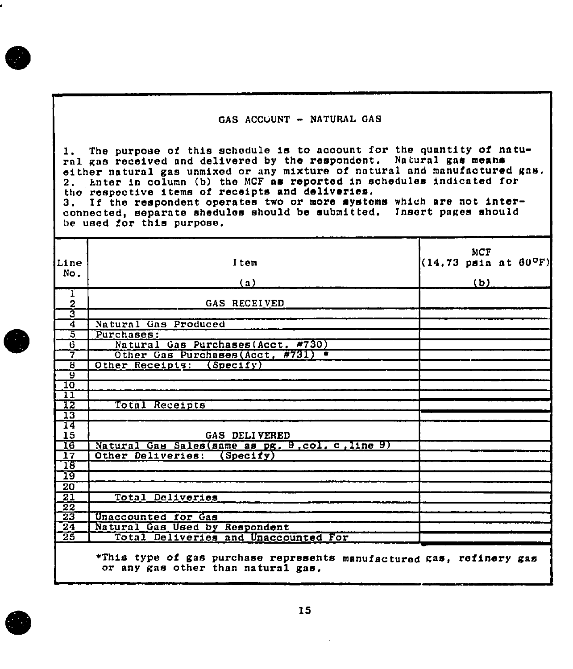#### GAS ACCUUNT - NATURAL GAS

The purpose of this schedule is to account for the quantity of natu- $1.$ ral gas received and delivered by the respondent. Natural gas means either natural gas unmixed or any mixture of natural and manufactured gas. 2. Enter in column (b) the MCF as reported in schedules indicated for<br>the respective items of receipts and deliveries. 3. If the respondent operates two or more systems which are not interconnected, separate shedules should be submitted. Insert pages should be used for this purpose.

| Line                    | Item                                                                 | $(14.73 \text{ ps1a at } 60^{\circ} \text{F})$ | <b>MCF</b> |  |
|-------------------------|----------------------------------------------------------------------|------------------------------------------------|------------|--|
| No.                     |                                                                      |                                                |            |  |
|                         | (a)                                                                  |                                                | <u>(b)</u> |  |
| ı<br>$\frac{2}{3}$      | GAS RECEIVED                                                         |                                                |            |  |
|                         |                                                                      |                                                |            |  |
| 7                       | Natural Gas Produced                                                 |                                                |            |  |
| $\overline{5}$          | Purchases:                                                           |                                                |            |  |
| ট                       | Natural Gas Purchases (Acct, #730)                                   |                                                |            |  |
| 7                       | Other Gas Purchases (Acct, #731) .                                   |                                                |            |  |
| ह                       | Other Receipts: (Specify)                                            |                                                |            |  |
| ៑ច្ឆ                    |                                                                      |                                                |            |  |
| 10                      |                                                                      |                                                |            |  |
| $\overline{\mathbf{u}}$ |                                                                      |                                                |            |  |
| T2                      | Total Receipts                                                       |                                                |            |  |
| $\overline{13}$         |                                                                      |                                                |            |  |
| 14<br>15                | GAS DELIVERED                                                        |                                                |            |  |
| $\overline{16}$         | Natural Gas Sales (same as pg. 9, col. c. line 9)                    |                                                |            |  |
| $\overline{17}$         | Other Deliveries:<br>(Spectiv)                                       |                                                |            |  |
| $\overline{18}$         |                                                                      |                                                |            |  |
| $\overline{19}$         |                                                                      |                                                |            |  |
| $\overline{20}$         |                                                                      |                                                |            |  |
| $\overline{21}$         | Total Deliveries                                                     |                                                |            |  |
| $\overline{22}$         |                                                                      |                                                |            |  |
| $\overline{23}$         | Unaccounted for Gas                                                  |                                                |            |  |
| $\overline{24}$         | Natural Gas Used by Respondent                                       |                                                |            |  |
| $\overline{25}$         | Total Deliveries and Unaccounted For                                 |                                                |            |  |
|                         | *This type of gas purchase represents manufactured gas, refinery gas |                                                |            |  |

or any gas other than natural gas.

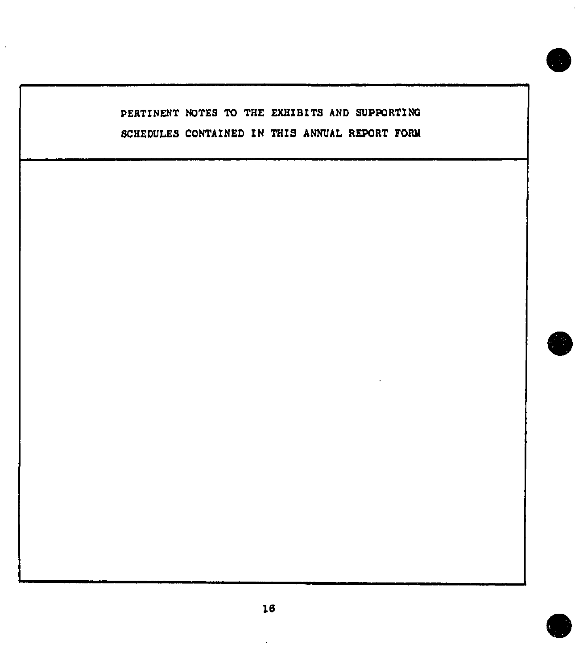## PERTINENT NOTES TO THE EXHIBITS AND SUPPORTING SCHEDULES CONTAINED IN THIS ANNUAL REPORT FORK

 $\overline{a}$